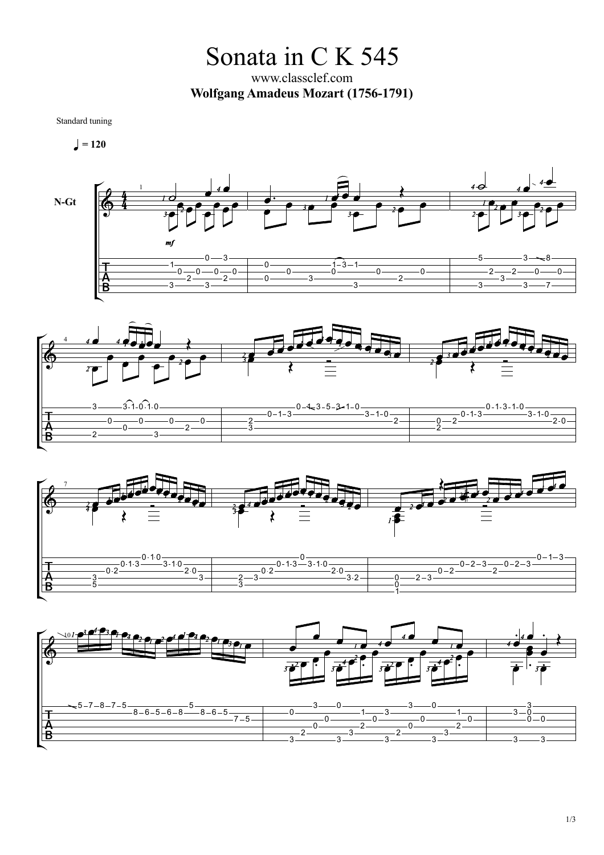Sonata in C K 545 www.classclef.com **Wolfgang Amadeus Mozart (1756-1791)**

Standard tuning

 $= 120$ 







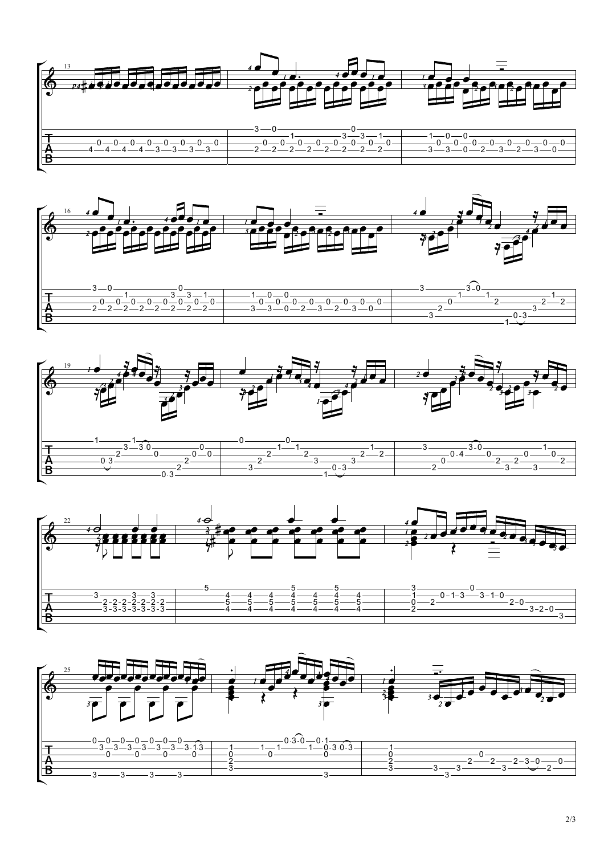